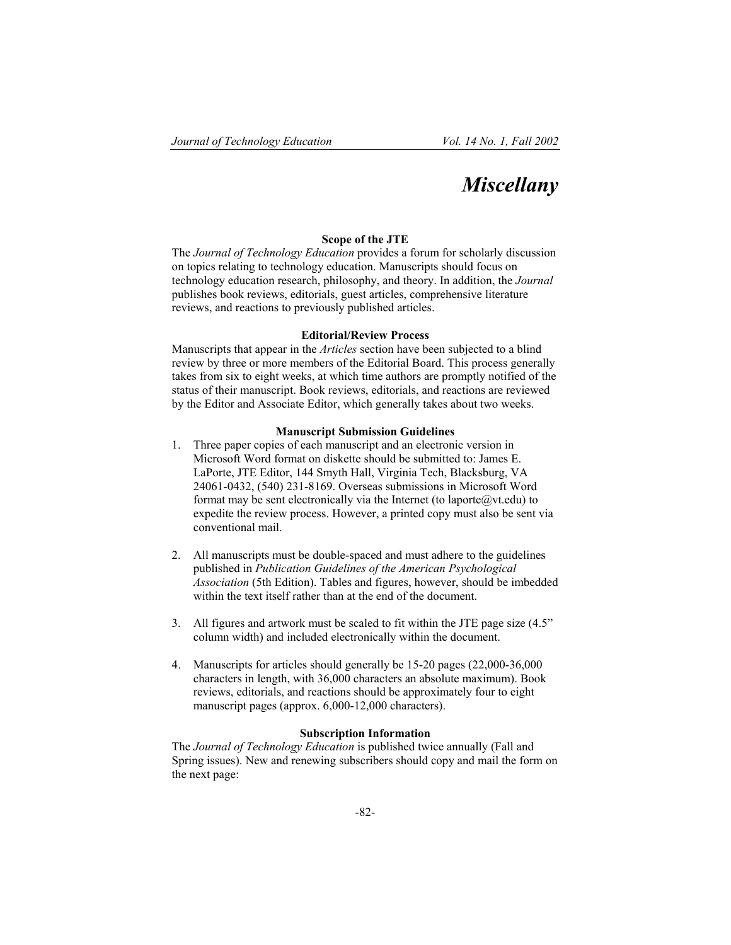# *Miscellany*

#### **Scope of the JTE**

The *Journal of Technology Education* provides a forum for scholarly discussion on topics relating to technology education. Manuscripts should focus on technology education research, philosophy, and theory. In addition, the *Journal* publishes book reviews, editorials, guest articles, comprehensive literature reviews, and reactions to previously published articles.

### **Editorial/Review Process**

Manuscripts that appear in the *Articles* section have been subjected to a blind review by three or more members of the Editorial Board. This process generally takes from six to eight weeks, at which time authors are promptly notified of the status of their manuscript. Book reviews, editorials, and reactions are reviewed by the Editor and Associate Editor, which generally takes about two weeks.

### **Manuscript Submission Guidelines**

- 1. Three paper copies of each manuscript and an electronic version in Microsoft Word format on diskette should be submitted to: James E. LaPorte, JTE Editor, 144 Smyth Hall, Virginia Tech, Blacksburg, VA 24061-0432, (540) 231-8169. Overseas submissions in Microsoft Word format may be sent electronically via the Internet (to laporte $\omega$ vt.edu) to expedite the review process. However, a printed copy must also be sent via conventional mail.
- 2. All manuscripts must be double-spaced and must adhere to the guidelines published in *Publication Guidelines of the American Psychological Association* (5th Edition). Tables and figures, however, should be imbedded within the text itself rather than at the end of the document.
- 3. All figures and artwork must be scaled to fit within the JTE page size (4.5" column width) and included electronically within the document.
- 4. Manuscripts for articles should generally be 15-20 pages (22,000-36,000 characters in length, with 36,000 characters an absolute maximum). Book reviews, editorials, and reactions should be approximately four to eight manuscript pages (approx. 6,000-12,000 characters).

#### **Subscription Information**

The *Journal of Technology Education* is published twice annually (Fall and Spring issues). New and renewing subscribers should copy and mail the form on the next page: